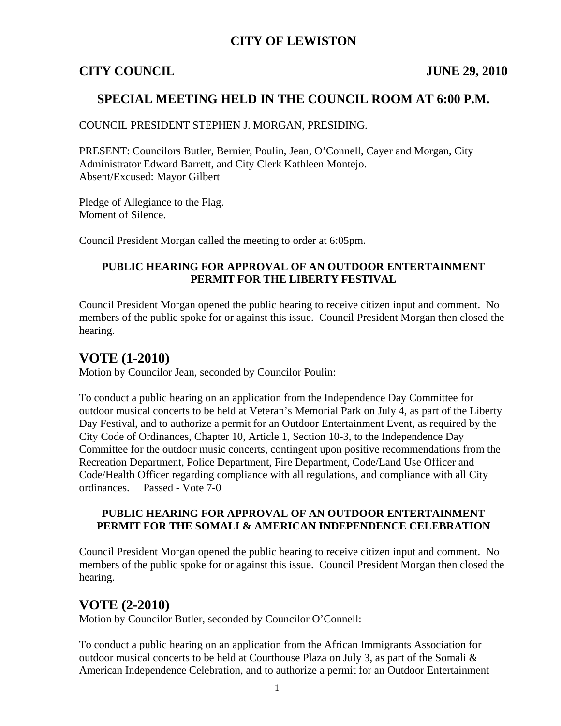### **CITY OF LEWISTON**

#### **CITY COUNCIL JUNE 29, 2010**

### **SPECIAL MEETING HELD IN THE COUNCIL ROOM AT 6:00 P.M.**

#### COUNCIL PRESIDENT STEPHEN J. MORGAN, PRESIDING.

PRESENT: Councilors Butler, Bernier, Poulin, Jean, O'Connell, Cayer and Morgan, City Administrator Edward Barrett, and City Clerk Kathleen Montejo. Absent/Excused: Mayor Gilbert

Pledge of Allegiance to the Flag. Moment of Silence.

Council President Morgan called the meeting to order at 6:05pm.

#### **PUBLIC HEARING FOR APPROVAL OF AN OUTDOOR ENTERTAINMENT PERMIT FOR THE LIBERTY FESTIVAL**

Council President Morgan opened the public hearing to receive citizen input and comment. No members of the public spoke for or against this issue. Council President Morgan then closed the hearing.

## **VOTE (1-2010)**

Motion by Councilor Jean, seconded by Councilor Poulin:

To conduct a public hearing on an application from the Independence Day Committee for outdoor musical concerts to be held at Veteran's Memorial Park on July 4, as part of the Liberty Day Festival, and to authorize a permit for an Outdoor Entertainment Event, as required by the City Code of Ordinances, Chapter 10, Article 1, Section 10-3, to the Independence Day Committee for the outdoor music concerts, contingent upon positive recommendations from the Recreation Department, Police Department, Fire Department, Code/Land Use Officer and Code/Health Officer regarding compliance with all regulations, and compliance with all City ordinances. Passed - Vote 7-0

#### **PUBLIC HEARING FOR APPROVAL OF AN OUTDOOR ENTERTAINMENT PERMIT FOR THE SOMALI & AMERICAN INDEPENDENCE CELEBRATION**

Council President Morgan opened the public hearing to receive citizen input and comment. No members of the public spoke for or against this issue. Council President Morgan then closed the hearing.

### **VOTE (2-2010)**

Motion by Councilor Butler, seconded by Councilor O'Connell:

To conduct a public hearing on an application from the African Immigrants Association for outdoor musical concerts to be held at Courthouse Plaza on July 3, as part of the Somali & American Independence Celebration, and to authorize a permit for an Outdoor Entertainment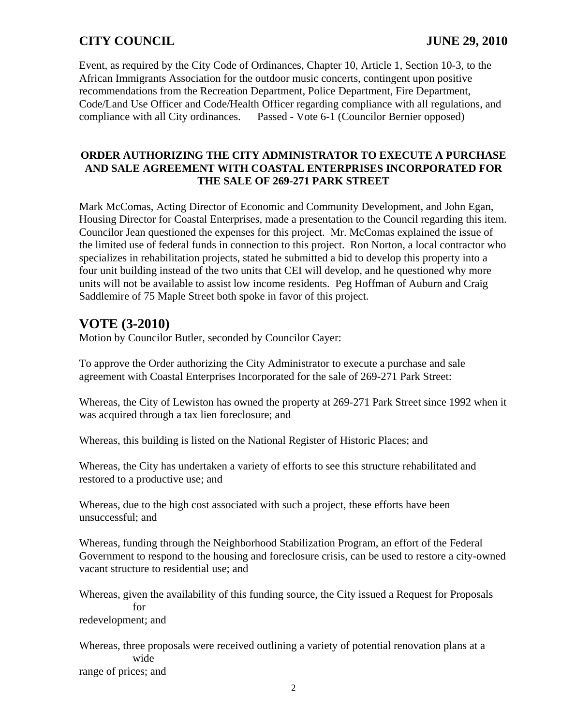# **CITY COUNCIL JUNE 29, 2010**

Event, as required by the City Code of Ordinances, Chapter 10, Article 1, Section 10-3, to the African Immigrants Association for the outdoor music concerts, contingent upon positive recommendations from the Recreation Department, Police Department, Fire Department, Code/Land Use Officer and Code/Health Officer regarding compliance with all regulations, and compliance with all City ordinances. Passed - Vote 6-1 (Councilor Bernier opposed)

#### **ORDER AUTHORIZING THE CITY ADMINISTRATOR TO EXECUTE A PURCHASE AND SALE AGREEMENT WITH COASTAL ENTERPRISES INCORPORATED FOR THE SALE OF 269-271 PARK STREET**

Mark McComas, Acting Director of Economic and Community Development, and John Egan, Housing Director for Coastal Enterprises, made a presentation to the Council regarding this item. Councilor Jean questioned the expenses for this project. Mr. McComas explained the issue of the limited use of federal funds in connection to this project. Ron Norton, a local contractor who specializes in rehabilitation projects, stated he submitted a bid to develop this property into a four unit building instead of the two units that CEI will develop, and he questioned why more units will not be available to assist low income residents. Peg Hoffman of Auburn and Craig Saddlemire of 75 Maple Street both spoke in favor of this project.

## **VOTE (3-2010)**

Motion by Councilor Butler, seconded by Councilor Cayer:

To approve the Order authorizing the City Administrator to execute a purchase and sale agreement with Coastal Enterprises Incorporated for the sale of 269-271 Park Street:

Whereas, the City of Lewiston has owned the property at 269-271 Park Street since 1992 when it was acquired through a tax lien foreclosure; and

Whereas, this building is listed on the National Register of Historic Places; and

Whereas, the City has undertaken a variety of efforts to see this structure rehabilitated and restored to a productive use; and

Whereas, due to the high cost associated with such a project, these efforts have been unsuccessful; and

Whereas, funding through the Neighborhood Stabilization Program, an effort of the Federal Government to respond to the housing and foreclosure crisis, can be used to restore a city-owned vacant structure to residential use; and

Whereas, given the availability of this funding source, the City issued a Request for Proposals for redevelopment; and

Whereas, three proposals were received outlining a variety of potential renovation plans at a wide range of prices; and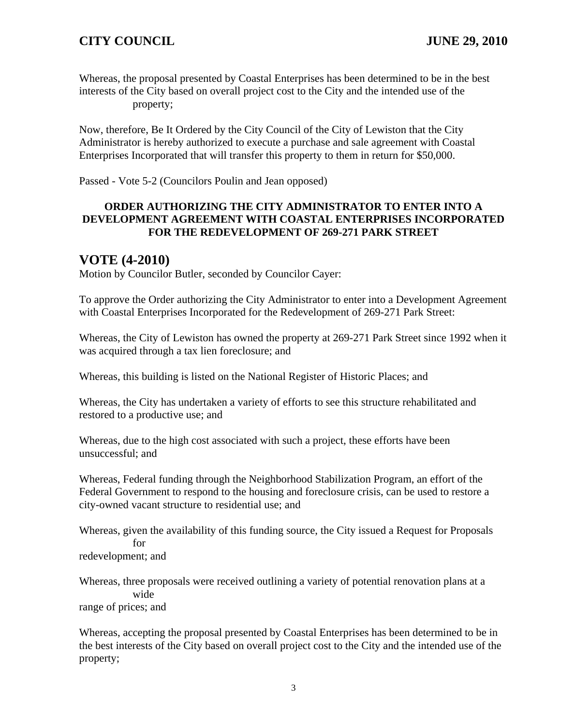Whereas, the proposal presented by Coastal Enterprises has been determined to be in the best interests of the City based on overall project cost to the City and the intended use of the property;

Now, therefore, Be It Ordered by the City Council of the City of Lewiston that the City Administrator is hereby authorized to execute a purchase and sale agreement with Coastal Enterprises Incorporated that will transfer this property to them in return for \$50,000.

Passed - Vote 5-2 (Councilors Poulin and Jean opposed)

#### **ORDER AUTHORIZING THE CITY ADMINISTRATOR TO ENTER INTO A DEVELOPMENT AGREEMENT WITH COASTAL ENTERPRISES INCORPORATED FOR THE REDEVELOPMENT OF 269-271 PARK STREET**

## **VOTE (4-2010)**

Motion by Councilor Butler, seconded by Councilor Cayer:

To approve the Order authorizing the City Administrator to enter into a Development Agreement with Coastal Enterprises Incorporated for the Redevelopment of 269-271 Park Street:

Whereas, the City of Lewiston has owned the property at 269-271 Park Street since 1992 when it was acquired through a tax lien foreclosure; and

Whereas, this building is listed on the National Register of Historic Places; and

Whereas, the City has undertaken a variety of efforts to see this structure rehabilitated and restored to a productive use; and

Whereas, due to the high cost associated with such a project, these efforts have been unsuccessful; and

Whereas, Federal funding through the Neighborhood Stabilization Program, an effort of the Federal Government to respond to the housing and foreclosure crisis, can be used to restore a city-owned vacant structure to residential use; and

Whereas, given the availability of this funding source, the City issued a Request for Proposals for

redevelopment; and

Whereas, three proposals were received outlining a variety of potential renovation plans at a wide range of prices; and

Whereas, accepting the proposal presented by Coastal Enterprises has been determined to be in the best interests of the City based on overall project cost to the City and the intended use of the property;